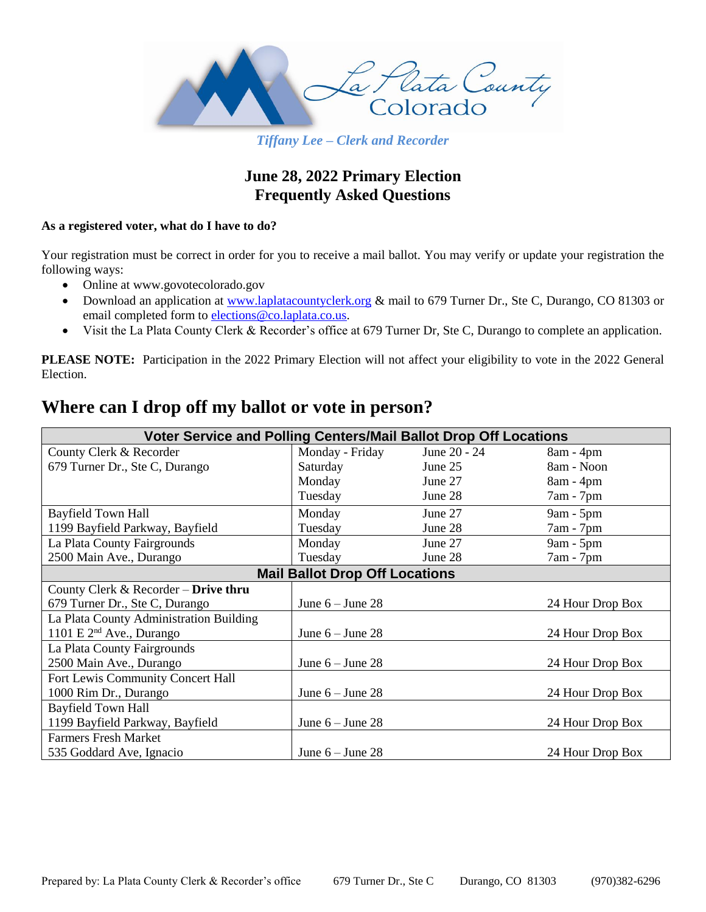

*Tiffany Lee – Clerk and Recorder*

# **June 28, 2022 Primary Election Frequently Asked Questions**

# **As a registered voter, what do I have to do?**

Your registration must be correct in order for you to receive a mail ballot. You may verify or update your registration the following ways:

- Online at www.govotecolorado.gov
- Download an application at [www.laplatacountyclerk.org](http://www.laplatacountyclerk.org/) & mail to 679 Turner Dr., Ste C, Durango, CO 81303 or email completed form to [elections@co.laplata.co.us.](mailto:elections@co.laplata.co.us)
- Visit the La Plata County Clerk & Recorder's office at 679 Turner Dr, Ste C, Durango to complete an application.

PLEASE NOTE: Participation in the 2022 Primary Election will not affect your eligibility to vote in the 2022 General Election.

# **Where can I drop off my ballot or vote in person?**

| Voter Service and Polling Centers/Mail Ballot Drop Off Locations |                    |              |                  |
|------------------------------------------------------------------|--------------------|--------------|------------------|
| County Clerk & Recorder                                          | Monday - Friday    | June 20 - 24 | $8am - 4pm$      |
| 679 Turner Dr., Ste C, Durango                                   | Saturday           | June 25      | 8am - Noon       |
|                                                                  | Monday             | June 27      | $8am - 4pm$      |
|                                                                  | Tuesday            | June 28      | $7am - 7pm$      |
| <b>Bayfield Town Hall</b>                                        | Monday             | June 27      | $9am - 5pm$      |
| 1199 Bayfield Parkway, Bayfield                                  | Tuesday            | June 28      | 7am - 7pm        |
| La Plata County Fairgrounds                                      | Monday             | June 27      | 9am - 5pm        |
| 2500 Main Ave., Durango                                          | Tuesday            | June 28      | $7am - 7pm$      |
| <b>Mail Ballot Drop Off Locations</b>                            |                    |              |                  |
| County Clerk & Recorder $-$ Drive thru                           |                    |              |                  |
| 679 Turner Dr., Ste C, Durango                                   | June $6 -$ June 28 |              | 24 Hour Drop Box |
| La Plata County Administration Building                          |                    |              |                  |
| 1101 E $2nd$ Ave., Durango                                       | June $6 -$ June 28 |              | 24 Hour Drop Box |
| La Plata County Fairgrounds                                      |                    |              |                  |
| 2500 Main Ave., Durango                                          | June $6 -$ June 28 |              | 24 Hour Drop Box |
| Fort Lewis Community Concert Hall                                |                    |              |                  |
| 1000 Rim Dr., Durango                                            | June $6 -$ June 28 |              | 24 Hour Drop Box |
| <b>Bayfield Town Hall</b>                                        |                    |              |                  |
| 1199 Bayfield Parkway, Bayfield                                  | June $6 -$ June 28 |              | 24 Hour Drop Box |
| <b>Farmers Fresh Market</b>                                      |                    |              |                  |
| 535 Goddard Ave, Ignacio                                         | June $6 -$ June 28 |              | 24 Hour Drop Box |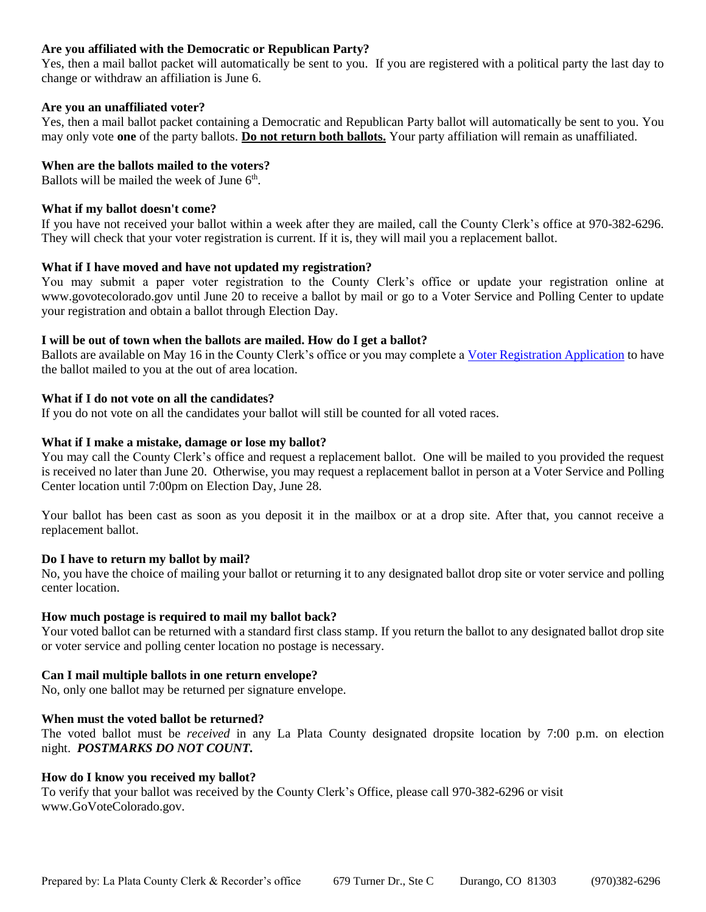# **Are you affiliated with the Democratic or Republican Party?**

Yes, then a mail ballot packet will automatically be sent to you. If you are registered with a political party the last day to change or withdraw an affiliation is June 6.

#### **Are you an unaffiliated voter?**

Yes, then a mail ballot packet containing a Democratic and Republican Party ballot will automatically be sent to you. You may only vote **one** of the party ballots. **Do not return both ballots.** Your party affiliation will remain as unaffiliated.

#### **When are the ballots mailed to the voters?**

Ballots will be mailed the week of June 6<sup>th</sup>.

# **What if my ballot doesn't come?**

If you have not received your ballot within a week after they are mailed, call the County Clerk's office at 970-382-6296. They will check that your voter registration is current. If it is, they will mail you a replacement ballot.

#### **What if I have moved and have not updated my registration?**

You may submit a paper voter registration to the County Clerk's office or update your registration online at www.govotecolorado.gov until June 20 to receive a ballot by mail or go to a Voter Service and Polling Center to update your registration and obtain a ballot through Election Day.

#### **I will be out of town when the ballots are mailed. How do I get a ballot?**

Ballots are available on May 16 in the County Clerk's office or you may complete [a Voter Registration Application](http://www.sos.state.co.us/pubs/elections/vote/VoterRegFormEnglish.pdf) to have the ballot mailed to you at the out of area location.

# **What if I do not vote on all the candidates?**

If you do not vote on all the candidates your ballot will still be counted for all voted races.

#### **What if I make a mistake, damage or lose my ballot?**

You may call the County Clerk's office and request a replacement ballot. One will be mailed to you provided the request is received no later than June 20. Otherwise, you may request a replacement ballot in person at a Voter Service and Polling Center location until 7:00pm on Election Day, June 28.

Your ballot has been cast as soon as you deposit it in the mailbox or at a drop site. After that, you cannot receive a replacement ballot.

#### **Do I have to return my ballot by mail?**

No, you have the choice of mailing your ballot or returning it to any designated ballot drop site or voter service and polling center location.

#### **How much postage is required to mail my ballot back?**

Your voted ballot can be returned with a standard first class stamp. If you return the ballot to any designated ballot drop site or voter service and polling center location no postage is necessary.

# **Can I mail multiple ballots in one return envelope?**

No, only one ballot may be returned per signature envelope.

#### **When must the voted ballot be returned?**

The voted ballot must be *received* in any La Plata County designated dropsite location by 7:00 p.m. on election night. *POSTMARKS DO NOT COUNT.*

#### **How do I know you received my ballot?**

To verify that your ballot was received by the County Clerk's Office, please call 970-382-6296 or visit www.GoVoteColorado.gov.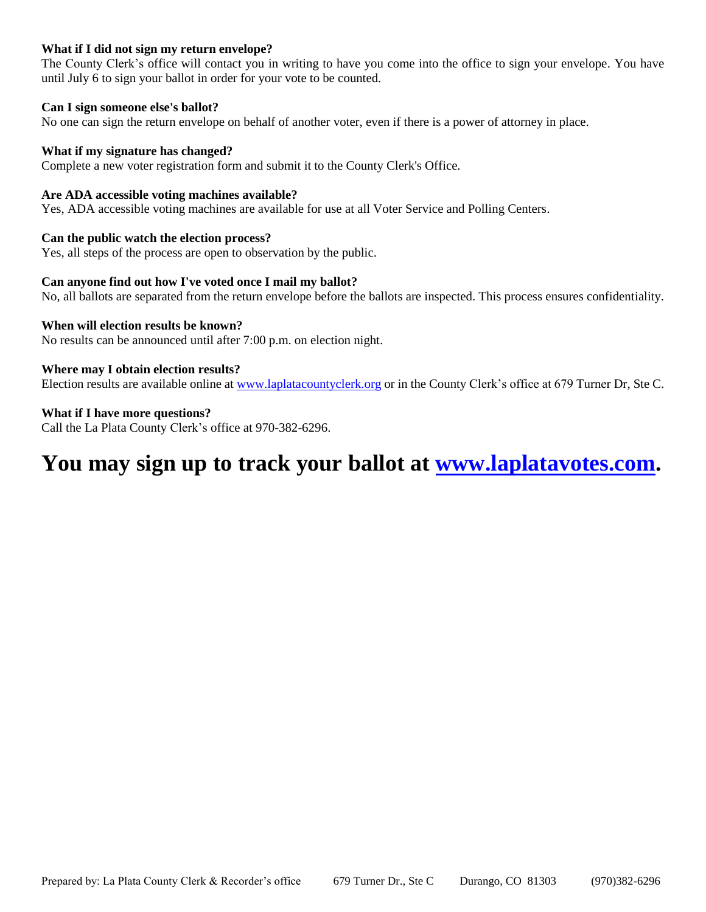# **What if I did not sign my return envelope?**

The County Clerk's office will contact you in writing to have you come into the office to sign your envelope. You have until July 6 to sign your ballot in order for your vote to be counted.

# **Can I sign someone else's ballot?**

No one can sign the return envelope on behalf of another voter, even if there is a power of attorney in place.

#### **What if my signature has changed?**

Complete a new voter registration form and submit it to the County Clerk's Office.

# **Are ADA accessible voting machines available?**

Yes, ADA accessible voting machines are available for use at all Voter Service and Polling Centers.

#### **Can the public watch the election process?**

Yes, all steps of the process are open to observation by the public.

#### **Can anyone find out how I've voted once I mail my ballot?**

No, all ballots are separated from the return envelope before the ballots are inspected. This process ensures confidentiality.

#### **When will election results be known?**

No results can be announced until after 7:00 p.m. on election night.

#### **Where may I obtain election results?**

Election results are available online at [www.laplatacountyclerk.org](http://www.laplatacountyclerk.org/) or in the County Clerk's office at 679 Turner Dr, Ste C.

#### **What if I have more questions?**

Call the La Plata County Clerk's office at 970-382-6296.

# **You may sign up to track your ballot at [www.laplatavotes.com.](http://www.laplatavotes.com/)**